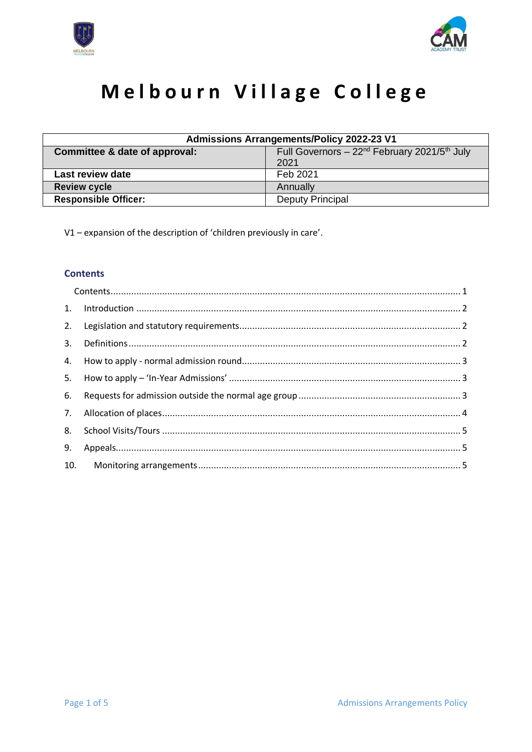



# **Melbourn Village College**

| <b>Admissions Arrangements/Policy 2022-23 V1</b> |                                                              |  |
|--------------------------------------------------|--------------------------------------------------------------|--|
| Committee & date of approval:                    | Full Governors $-22^{nd}$ February 2021/5 <sup>th</sup> July |  |
|                                                  | 2021                                                         |  |
| Last review date                                 | Feb 2021                                                     |  |
| <b>Review cycle</b>                              | Annually                                                     |  |
| <b>Responsible Officer:</b>                      | <b>Deputy Principal</b>                                      |  |

V1 – expansion of the description of 'children previously in care'.

#### <span id="page-0-0"></span>**Contents**

| 3. |  |
|----|--|
|    |  |
|    |  |
|    |  |
|    |  |
|    |  |
| 9. |  |
|    |  |
|    |  |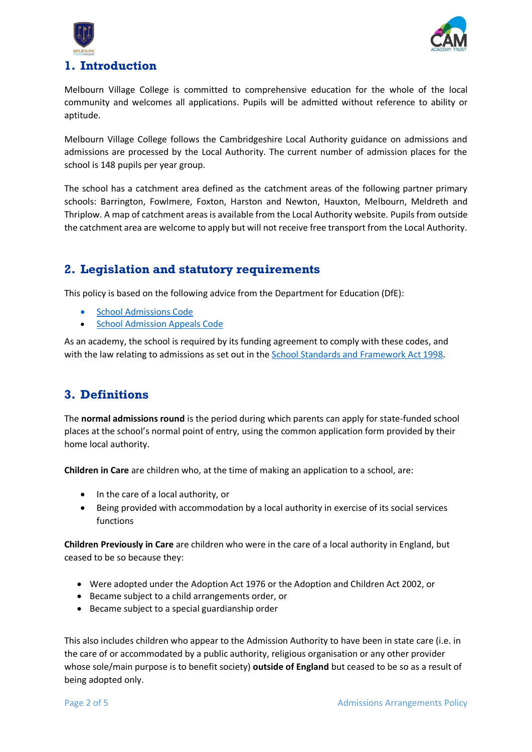



# <span id="page-1-0"></span>**1. Introduction**

Melbourn Village College is committed to comprehensive education for the whole of the local community and welcomes all applications. Pupils will be admitted without reference to ability or aptitude.

Melbourn Village College follows the Cambridgeshire Local Authority guidance on admissions and admissions are processed by the Local Authority. The current number of admission places for the school is 148 pupils per year group.

The school has a catchment area defined as the catchment areas of the following partner primary schools: Barrington, Fowlmere, Foxton, Harston and Newton, Hauxton, Melbourn, Meldreth and Thriplow. A map of catchment areas is available from the Local Authority website. Pupils from outside the catchment area are welcome to apply but will not receive free transport from the Local Authority.

# <span id="page-1-1"></span>**2. Legislation and statutory requirements**

This policy is based on the following advice from the Department for Education (DfE):

- [School Admissions Code](https://www.gov.uk/government/publications/school-admissions-code--2)
- [School Admission Appeals Code](https://www.gov.uk/government/publications/school-admissions-appeals-code)

As an academy, the school is required by its funding agreement to comply with these codes, and with the law relating to admissions as set out in the [School Standards and Framework Act 1998.](http://www.legislation.gov.uk/ukpga/1998/31/contents)

### <span id="page-1-2"></span>**3. Definitions**

The **normal admissions round** is the period during which parents can apply for state-funded school places at the school's normal point of entry, using the common application form provided by their home local authority.

**Children in Care** are children who, at the time of making an application to a school, are:

- In the care of a local authority, or
- Being provided with accommodation by a local authority in exercise of its social services functions

**Children Previously in Care** are children who were in the care of a local authority in England, but ceased to be so because they:

- Were adopted under the Adoption Act 1976 or the Adoption and Children Act 2002, or
- Became subject to a child arrangements order, or
- Became subject to a special guardianship order

This also includes children who appear to the Admission Authority to have been in state care (i.e. in the care of or accommodated by a public authority, religious organisation or any other provider whose sole/main purpose is to benefit society) **outside of England** but ceased to be so as a result of being adopted only.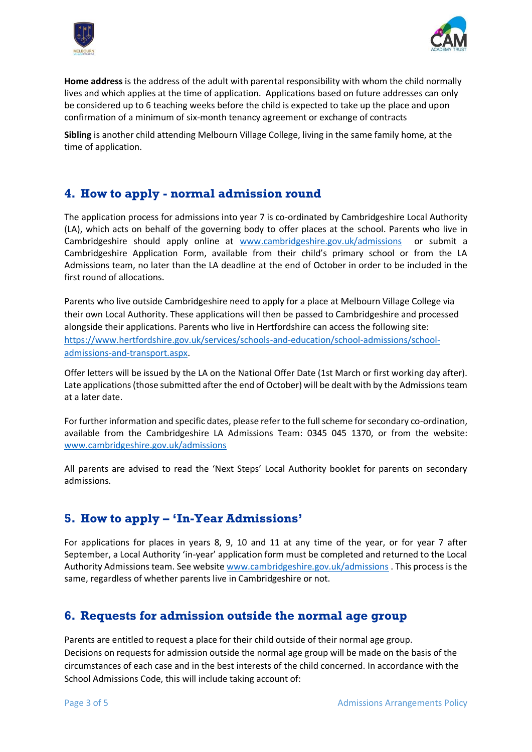



**Home address** is the address of the adult with parental responsibility with whom the child normally lives and which applies at the time of application. Applications based on future addresses can only be considered up to 6 teaching weeks before the child is expected to take up the place and upon confirmation of a minimum of six-month tenancy agreement or exchange of contracts

**Sibling** is another child attending Melbourn Village College, living in the same family home, at the time of application.

### <span id="page-2-0"></span>**4. How to apply - normal admission round**

The application process for admissions into year 7 is co-ordinated by Cambridgeshire Local Authority (LA), which acts on behalf of the governing body to offer places at the school. Parents who live in Cambridgeshire should apply online at [www.cambridgeshire.gov.uk/admissions](http://www.cambridgeshire.gov.uk/admissions) or submit a Cambridgeshire Application Form, available from their child's primary school or from the LA Admissions team, no later than the LA deadline at the end of October in order to be included in the first round of allocations.

Parents who live outside Cambridgeshire need to apply for a place at Melbourn Village College via their own Local Authority. These applications will then be passed to Cambridgeshire and processed alongside their applications. Parents who live in Hertfordshire can access the following site: [https://www.hertfordshire.gov.uk/services/schools-and-education/school-admissions/school](https://www.hertfordshire.gov.uk/services/schools-and-education/school-admissions/school-admissions-and-transport.aspx)[admissions-and-transport.aspx.](https://www.hertfordshire.gov.uk/services/schools-and-education/school-admissions/school-admissions-and-transport.aspx)

Offer letters will be issued by the LA on the National Offer Date (1st March or first working day after). Late applications (those submitted after the end of October) will be dealt with by the Admissions team at a later date.

For further information and specific dates, please refer to the full scheme for secondary co-ordination, available from the Cambridgeshire LA Admissions Team: 0345 045 1370, or from the website: [www.cambridgeshire.gov.uk/admissions](http://www.cambridgeshire.gov.uk/admissions) 

All parents are advised to read the 'Next Steps' Local Authority booklet for parents on secondary admissions.

### <span id="page-2-1"></span>**5. How to apply – 'In-Year Admissions'**

For applications for places in years 8, 9, 10 and 11 at any time of the year, or for year 7 after September, a Local Authority 'in-year' application form must be completed and returned to the Local Authority Admissions team. See websit[e www.cambridgeshire.gov.uk/admissions](http://www.cambridgeshire.gov.uk/admissions) . This process is the same, regardless of whether parents live in Cambridgeshire or not.

### <span id="page-2-2"></span>**6. Requests for admission outside the normal age group**

Parents are entitled to request a place for their child outside of their normal age group. Decisions on requests for admission outside the normal age group will be made on the basis of the circumstances of each case and in the best interests of the child concerned. In accordance with the School Admissions Code, this will include taking account of: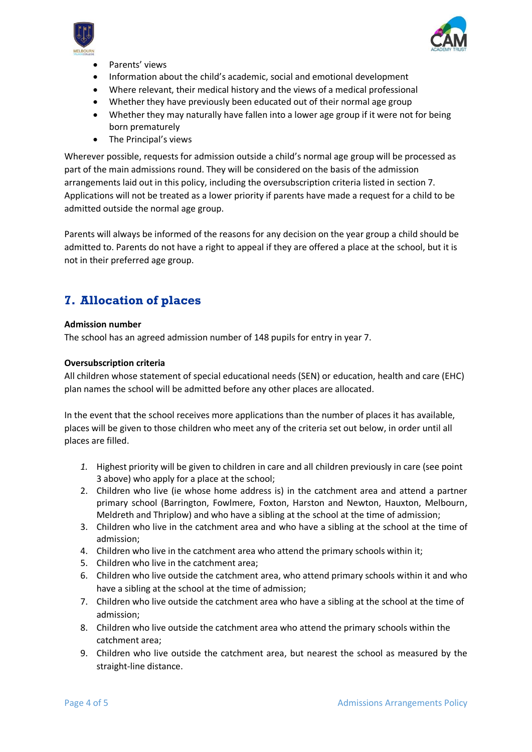



- Parents' views
- Information about the child's academic, social and emotional development
- Where relevant, their medical history and the views of a medical professional
- Whether they have previously been educated out of their normal age group
- Whether they may naturally have fallen into a lower age group if it were not for being born prematurely
- The Principal's views

Wherever possible, requests for admission outside a child's normal age group will be processed as part of the main admissions round. They will be considered on the basis of the admission arrangements laid out in this policy, including the oversubscription criteria listed in section 7. Applications will not be treated as a lower priority if parents have made a request for a child to be admitted outside the normal age group.

Parents will always be informed of the reasons for any decision on the year group a child should be admitted to. Parents do not have a right to appeal if they are offered a place at the school, but it is not in their preferred age group.

# <span id="page-3-0"></span>**7. Allocation of places**

#### **Admission number**

The school has an agreed admission number of 148 pupils for entry in year 7.

#### **Oversubscription criteria**

All children whose statement of special educational needs (SEN) or education, health and care (EHC) plan names the school will be admitted before any other places are allocated.

In the event that the school receives more applications than the number of places it has available, places will be given to those children who meet any of the criteria set out below, in order until all places are filled.

- *1.* Highest priority will be given to children in care and all children previously in care (see point 3 above) who apply for a place at the school;
- 2. Children who live (ie whose home address is) in the catchment area and attend a partner primary school (Barrington, Fowlmere, Foxton, Harston and Newton, Hauxton, Melbourn, Meldreth and Thriplow) and who have a sibling at the school at the time of admission;
- 3. Children who live in the catchment area and who have a sibling at the school at the time of admission;
- 4. Children who live in the catchment area who attend the primary schools within it;
- 5. Children who live in the catchment area;
- 6. Children who live outside the catchment area, who attend primary schools within it and who have a sibling at the school at the time of admission;
- 7. Children who live outside the catchment area who have a sibling at the school at the time of admission;
- 8. Children who live outside the catchment area who attend the primary schools within the catchment area;
- 9. Children who live outside the catchment area, but nearest the school as measured by the straight-line distance.